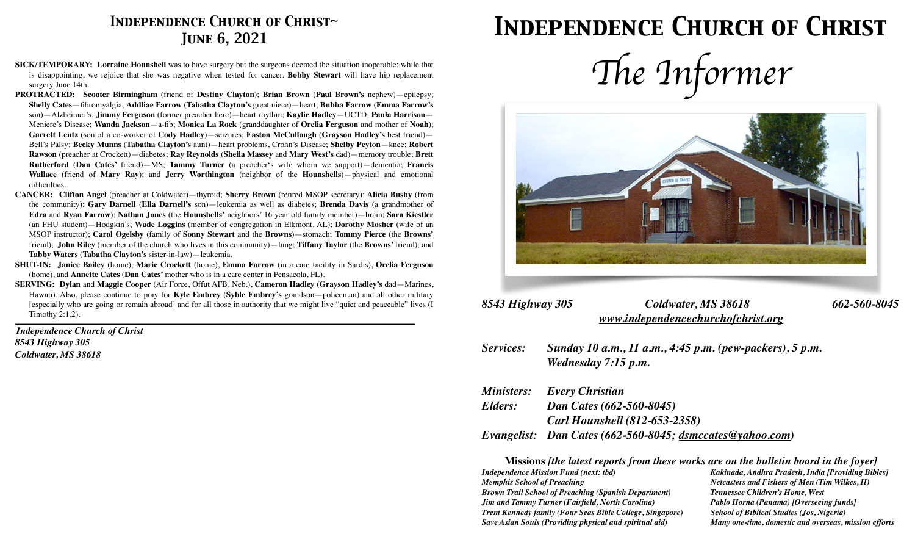### *Independence Church of Christ~ June 6, 2021*

- **SICK/TEMPORARY: Lorraine Hounshell** was to have surgery but the surgeons deemed the situation inoperable; while that is disappointing, we rejoice that she was negative when tested for cancer. **Bobby Stewart** will have hip replacement surgery June 14th.
- **PROTRACTED: Scooter Birmingham** (friend of **Destiny Clayton**); **Brian Brown** (**Paul Brown's** nephew)—epilepsy; **Shelly Cates**—fibromyalgia; **Addliae Farrow** (**Tabatha Clayton's** great niece)—heart; **Bubba Farrow** (**Emma Farrow's**  son)—Alzheimer's; **Jimmy Ferguson** (former preacher here)—heart rhythm; **Kaylie Hadley**—UCTD; **Paula Harrison**— Meniere's Disease; **Wanda Jackson**—a-fib; **Monica La Rock** (granddaughter of **Orelia Ferguson** and mother of **Noah**); **Garrett Lentz** (son of a co-worker of **Cody Hadley**)—seizures; **Easton McCullough** (**Grayson Hadley's** best friend)— Bell's Palsy; **Becky Munns** (**Tabatha Clayton's** aunt)—heart problems, Crohn's Disease; **Shelby Peyton**—knee; **Robert Rawson** (preacher at Crockett)—diabetes; **Ray Reynolds** (**Sheila Massey** and **Mary West's** dad)—memory trouble; **Brett Rutherford** (**Dan Cates'** friend)—MS; **Tammy Turner** (a preacher's wife whom we support)—dementia; **Francis Wallace** (friend of **Mary Ray**); and **Jerry Worthington** (neighbor of the **Hounshells**)—physical and emotional difficulties.
- **CANCER: Clifton Angel** (preacher at Coldwater)—thyroid; **Sherry Brown** (retired MSOP secretary); **Alicia Busby** (from the community); **Gary Darnell** (**Ella Darnell's** son)—leukemia as well as diabetes; **Brenda Davis** (a grandmother of **Edra** and **Ryan Farrow**); **Nathan Jones** (the **Hounshells'** neighbors' 16 year old family member)—brain; **Sara Kiestler** (an FHU student)—Hodgkin's; **Wade Loggins** (member of congregation in Elkmont, AL); **Dorothy Mosher** (wife of an MSOP instructor); **Carol Ogelsby** (family of **Sonny Stewart** and the **Browns**)—stomach; **Tommy Pierce** (the **Browns'** friend); **John Riley** (member of the church who lives in this community)—lung; **Tiffany Taylor** (the **Browns'** friend); and **Tabby Waters** (**Tabatha Clayton's** sister-in-law)—leukemia.
- **SHUT-IN: Janice Bailey** (home); **Marie Crockett** (home), **Emma Farrow** (in a care facility in Sardis), **Orelia Ferguson**  (home), and **Annette Cates** (**Dan Cates'** mother who is in a care center in Pensacola, FL).
- **SERVING: Dylan** and **Maggie Cooper** (Air Force, Offut AFB, Neb.), **Cameron Hadley** (**Grayson Hadley's** dad—Marines, Hawaii). Also, please continue to pray for **Kyle Embrey** (**Syble Embrey's** grandson—policeman) and all other military [especially who are going or remain abroad] and for all those in authority that we might live "quiet and peaceable" lives (I Timothy 2:1,2).

*\_\_\_\_\_\_\_\_\_\_\_\_\_\_\_\_\_\_\_\_\_\_\_\_\_\_\_\_\_\_\_\_\_\_\_\_\_\_\_\_\_\_\_\_\_\_\_\_\_\_\_\_\_\_\_\_\_\_\_\_\_\_\_\_\_\_\_\_\_\_\_\_\_\_\_\_\_\_\_\_\_\_\_\_\_\_\_\_\_\_\_\_\_\_\_\_\_\_\_\_\_\_\_\_\_\_\_\_\_\_\_\_\_\_\_\_\_\_\_\_\_\_\_\_\_\_\_\_\_\_\_\_\_\_\_\_\_\_\_\_\_\_\_\_\_\_\_\_\_\_\_\_\_\_\_\_\_\_\_\_\_\_\_\_\_* 

*Independence Church of Christ 8543 Highway 305 Coldwater, MS 38618*

## *Independence Church of Christ*





| 8543 Highway 305 | Coldwater, MS 38618                | 662-560-8045 |
|------------------|------------------------------------|--------------|
|                  | www.independencechurchofchrist.org |              |

*Services: Sunday 10 a.m., 11 a.m., 4:45 p.m. (pew-packers), 5 p.m. Wednesday 7:15 p.m.* 

|         | <b>Ministers:</b> Every Christian                         |
|---------|-----------------------------------------------------------|
| Elders: | Dan Cates (662-560-8045)                                  |
|         | <b>Carl Hounshell (812-653-2358)</b>                      |
|         | Evangelist: Dan Cates (662-560-8045; dsmccates@yahoo.com) |

**Missions** *[the latest reports from these works are on the bulletin board in the foyer]* 

*Memphis School of Preaching*  $N$ etcasters and Fishers of Men (Tim Wilkes, II) *Brown Trail School of Preaching (Spanish Department) Tennessee Children's Home, West Jim and Tammy Turner (Fairfield, North Carolina) Pablo Horna (Panama) [Overseeing funds] Trent Kennedy family (Four Seas Bible College, Singapore) School of Biblical Studies (Jos, Nigeria) Save Asian Souls (Providing physical and spiritual aid) Many one-time, domestic and overseas, mission efforts*

*Independence Mission Fund (next: tbd) Kakinada, Andhra Pradesh, India [Providing Bibles]*